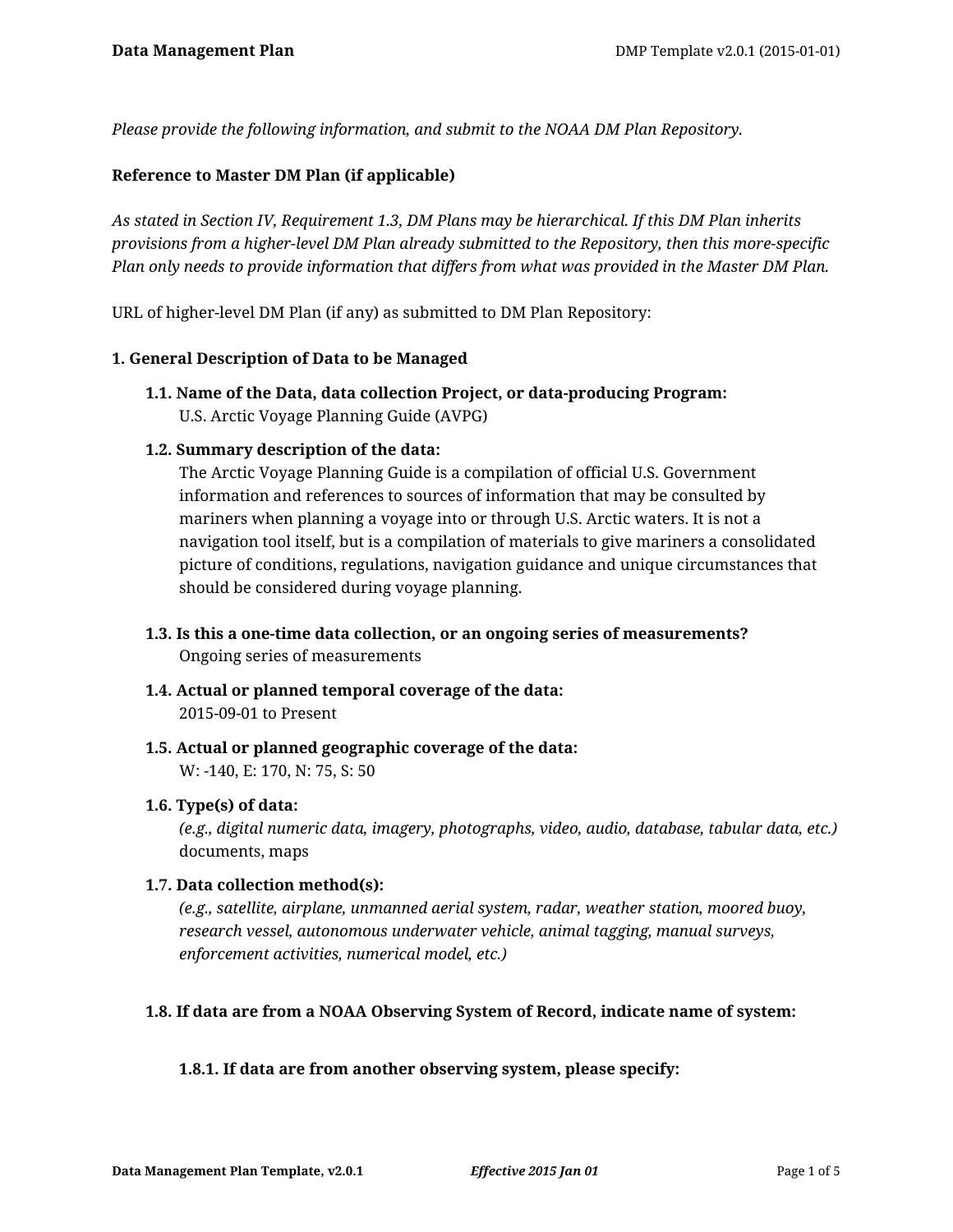*Please provide the following information, and submit to the NOAA DM Plan Repository.*

# **Reference to Master DM Plan (if applicable)**

*As stated in Section IV, Requirement 1.3, DM Plans may be hierarchical. If this DM Plan inherits provisions from a higher-level DM Plan already submitted to the Repository, then this more-specific Plan only needs to provide information that differs from what was provided in the Master DM Plan.*

URL of higher-level DM Plan (if any) as submitted to DM Plan Repository:

#### **1. General Description of Data to be Managed**

**1.1. Name of the Data, data collection Project, or data-producing Program:** U.S. Arctic Voyage Planning Guide (AVPG)

### **1.2. Summary description of the data:**

The Arctic Voyage Planning Guide is a compilation of official U.S. Government information and references to sources of information that may be consulted by mariners when planning a voyage into or through U.S. Arctic waters. It is not a navigation tool itself, but is a compilation of materials to give mariners a consolidated picture of conditions, regulations, navigation guidance and unique circumstances that should be considered during voyage planning.

- **1.3. Is this a one-time data collection, or an ongoing series of measurements?** Ongoing series of measurements
- **1.4. Actual or planned temporal coverage of the data:** 2015-09-01 to Present
- **1.5. Actual or planned geographic coverage of the data:** W: -140, E: 170, N: 75, S: 50

#### **1.6. Type(s) of data:**

*(e.g., digital numeric data, imagery, photographs, video, audio, database, tabular data, etc.)* documents, maps

#### **1.7. Data collection method(s):**

*(e.g., satellite, airplane, unmanned aerial system, radar, weather station, moored buoy, research vessel, autonomous underwater vehicle, animal tagging, manual surveys, enforcement activities, numerical model, etc.)*

#### **1.8. If data are from a NOAA Observing System of Record, indicate name of system:**

# **1.8.1. If data are from another observing system, please specify:**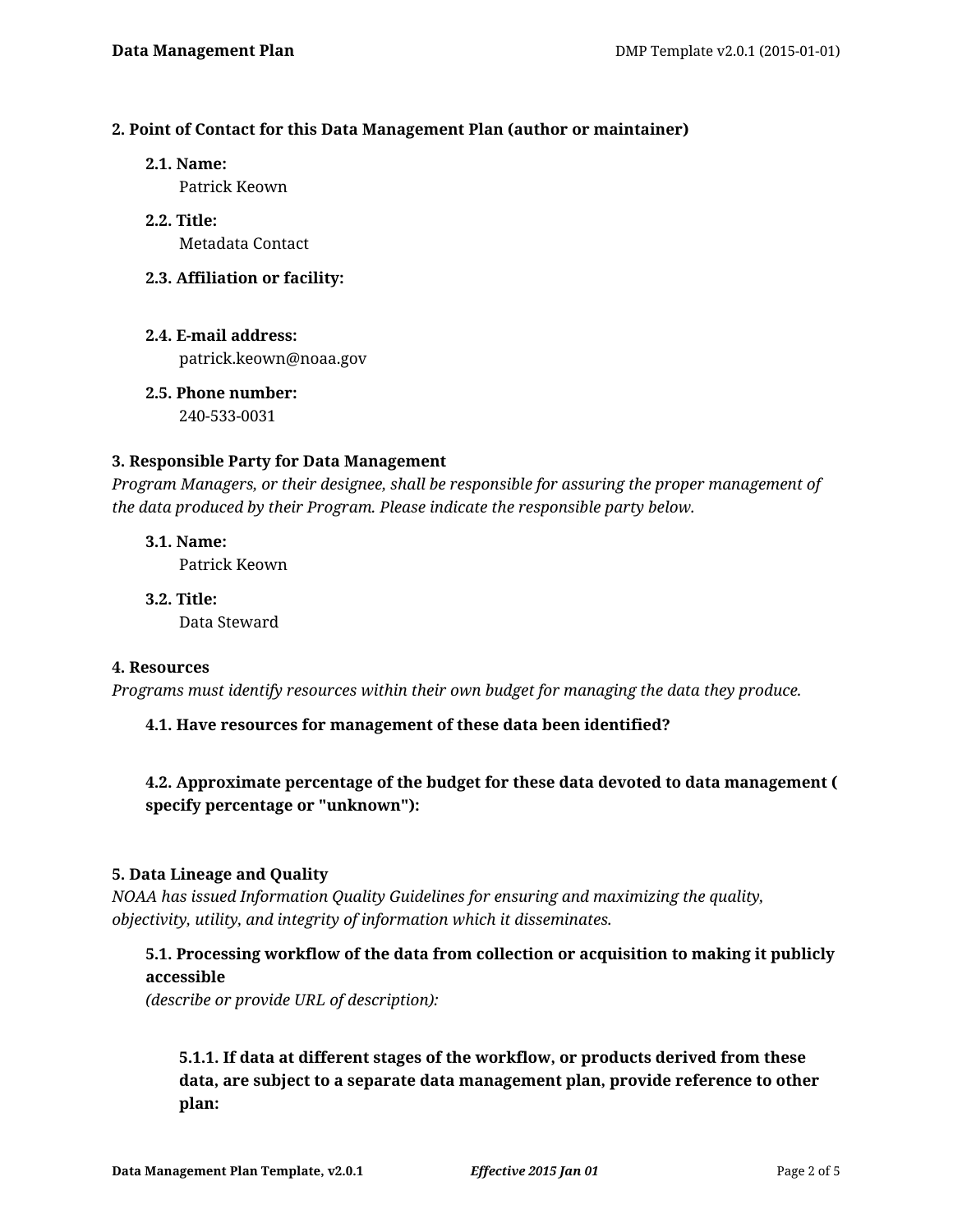### **2. Point of Contact for this Data Management Plan (author or maintainer)**

**2.1. Name:**

Patrick Keown

- **2.2. Title:** Metadata Contact
- **2.3. Affiliation or facility:**
- **2.4. E-mail address:** patrick.keown@noaa.gov
- **2.5. Phone number:** 240-533-0031

# **3. Responsible Party for Data Management**

*Program Managers, or their designee, shall be responsible for assuring the proper management of the data produced by their Program. Please indicate the responsible party below.*

**3.1. Name:** Patrick Keown

**3.2. Title:** Data Steward

#### **4. Resources**

*Programs must identify resources within their own budget for managing the data they produce.*

# **4.1. Have resources for management of these data been identified?**

# **4.2. Approximate percentage of the budget for these data devoted to data management ( specify percentage or "unknown"):**

# **5. Data Lineage and Quality**

*NOAA has issued Information Quality Guidelines for ensuring and maximizing the quality, objectivity, utility, and integrity of information which it disseminates.*

# **5.1. Processing workflow of the data from collection or acquisition to making it publicly accessible**

*(describe or provide URL of description):*

**5.1.1. If data at different stages of the workflow, or products derived from these data, are subject to a separate data management plan, provide reference to other plan:**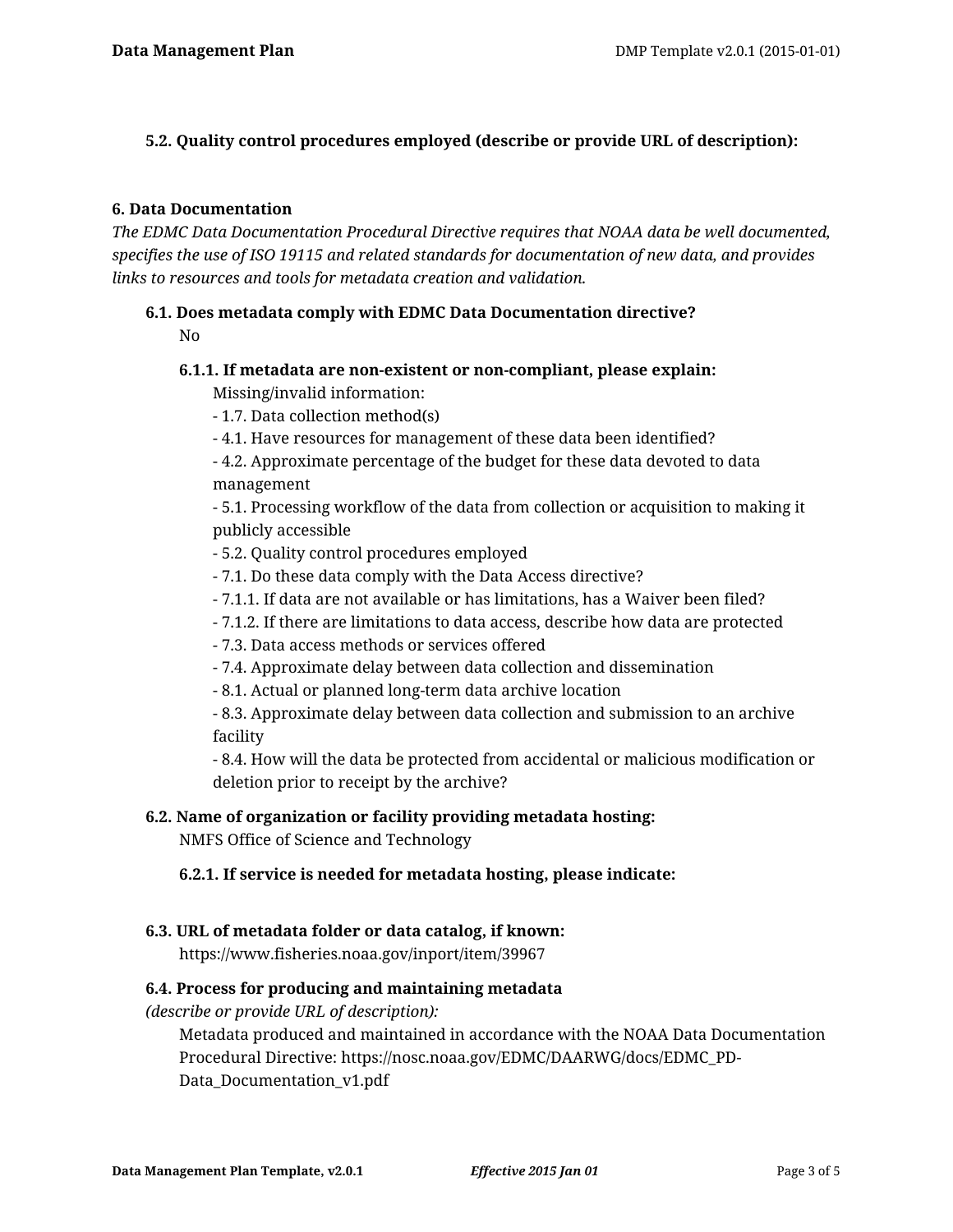### **5.2. Quality control procedures employed (describe or provide URL of description):**

### **6. Data Documentation**

*The EDMC Data Documentation Procedural Directive requires that NOAA data be well documented, specifies the use of ISO 19115 and related standards for documentation of new data, and provides links to resources and tools for metadata creation and validation.*

### **6.1. Does metadata comply with EDMC Data Documentation directive?** No

#### **6.1.1. If metadata are non-existent or non-compliant, please explain:**

Missing/invalid information:

- 1.7. Data collection method(s)
- 4.1. Have resources for management of these data been identified?

- 4.2. Approximate percentage of the budget for these data devoted to data management

- 5.1. Processing workflow of the data from collection or acquisition to making it publicly accessible

- 5.2. Quality control procedures employed
- 7.1. Do these data comply with the Data Access directive?
- 7.1.1. If data are not available or has limitations, has a Waiver been filed?
- 7.1.2. If there are limitations to data access, describe how data are protected
- 7.3. Data access methods or services offered
- 7.4. Approximate delay between data collection and dissemination
- 8.1. Actual or planned long-term data archive location

- 8.3. Approximate delay between data collection and submission to an archive facility

- 8.4. How will the data be protected from accidental or malicious modification or deletion prior to receipt by the archive?

#### **6.2. Name of organization or facility providing metadata hosting:**

NMFS Office of Science and Technology

#### **6.2.1. If service is needed for metadata hosting, please indicate:**

#### **6.3. URL of metadata folder or data catalog, if known:**

https://www.fisheries.noaa.gov/inport/item/39967

#### **6.4. Process for producing and maintaining metadata**

*(describe or provide URL of description):*

Metadata produced and maintained in accordance with the NOAA Data Documentation Procedural Directive: https://nosc.noaa.gov/EDMC/DAARWG/docs/EDMC\_PD-Data Documentation v1.pdf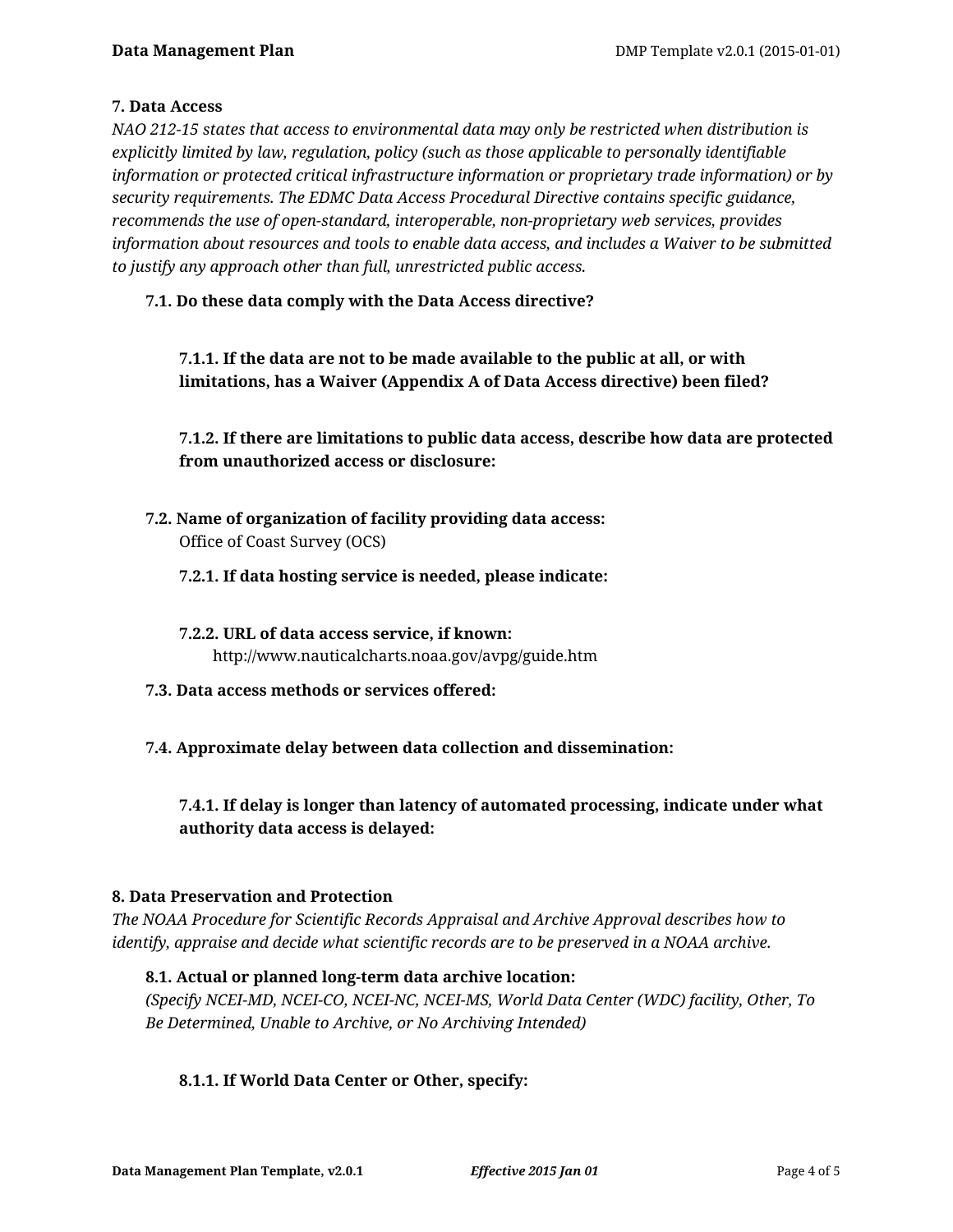# **7. Data Access**

*NAO 212-15 states that access to environmental data may only be restricted when distribution is explicitly limited by law, regulation, policy (such as those applicable to personally identifiable information or protected critical infrastructure information or proprietary trade information) or by security requirements. The EDMC Data Access Procedural Directive contains specific guidance, recommends the use of open-standard, interoperable, non-proprietary web services, provides information about resources and tools to enable data access, and includes a Waiver to be submitted to justify any approach other than full, unrestricted public access.*

# **7.1. Do these data comply with the Data Access directive?**

**7.1.1. If the data are not to be made available to the public at all, or with limitations, has a Waiver (Appendix A of Data Access directive) been filed?**

**7.1.2. If there are limitations to public data access, describe how data are protected from unauthorized access or disclosure:**

**7.2. Name of organization of facility providing data access:** Office of Coast Survey (OCS)

### **7.2.1. If data hosting service is needed, please indicate:**

- **7.2.2. URL of data access service, if known:** http://www.nauticalcharts.noaa.gov/avpg/guide.htm
- **7.3. Data access methods or services offered:**
- **7.4. Approximate delay between data collection and dissemination:**

# **7.4.1. If delay is longer than latency of automated processing, indicate under what authority data access is delayed:**

#### **8. Data Preservation and Protection**

*The NOAA Procedure for Scientific Records Appraisal and Archive Approval describes how to identify, appraise and decide what scientific records are to be preserved in a NOAA archive.*

# **8.1. Actual or planned long-term data archive location:**

*(Specify NCEI-MD, NCEI-CO, NCEI-NC, NCEI-MS, World Data Center (WDC) facility, Other, To Be Determined, Unable to Archive, or No Archiving Intended)*

# **8.1.1. If World Data Center or Other, specify:**